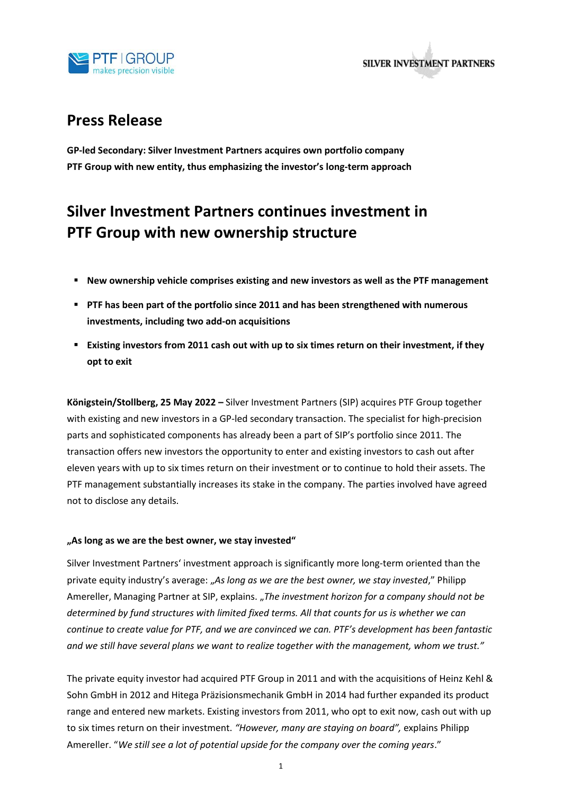

**SILVER INVESTMENT PARTNERS** 

# **Press Release**

**GP-led Secondary: Silver Investment Partners acquires own portfolio company PTF Group with new entity, thus emphasizing the investor's long-term approach**

# **Silver Investment Partners continues investment in PTF Group with new ownership structure**

- **New ownership vehicle comprises existing and new investors as well as the PTF management**
- **PTF has been part of the portfolio since 2011 and has been strengthened with numerous investments, including two add-on acquisitions**
- **Existing investors from 2011 cash out with up to six times return on their investment, if they opt to exit**

**Königstein/Stollberg, 25 May 2022 –** Silver Investment Partners (SIP) acquires PTF Group together with existing and new investors in a GP-led secondary transaction. The specialist for high-precision parts and sophisticated components has already been a part of SIP's portfolio since 2011. The transaction offers new investors the opportunity to enter and existing investors to cash out after eleven years with up to six times return on their investment or to continue to hold their assets. The PTF management substantially increases its stake in the company. The parties involved have agreed not to disclose any details.

# **"As long as we are the best owner, we stay invested"**

Silver Investment Partners' investment approach is significantly more long-term oriented than the private equity industry's average: "*As long as we are the best owner, we stay invested*," Philipp Amereller, Managing Partner at SIP, explains. "*The investment horizon for a company should not be determined by fund structures with limited fixed terms. All that counts for us is whether we can continue to create value for PTF, and we are convinced we can. PTF's development has been fantastic and we still have several plans we want to realize together with the management, whom we trust."* 

The private equity investor had acquired PTF Group in 2011 and with the acquisitions of Heinz Kehl & Sohn GmbH in 2012 and Hitega Präzisionsmechanik GmbH in 2014 had further expanded its product range and entered new markets. Existing investors from 2011, who opt to exit now, cash out with up to six times return on their investment. *"However, many are staying on board",* explains Philipp Amereller. "*We still see a lot of potential upside for the company over the coming years*."